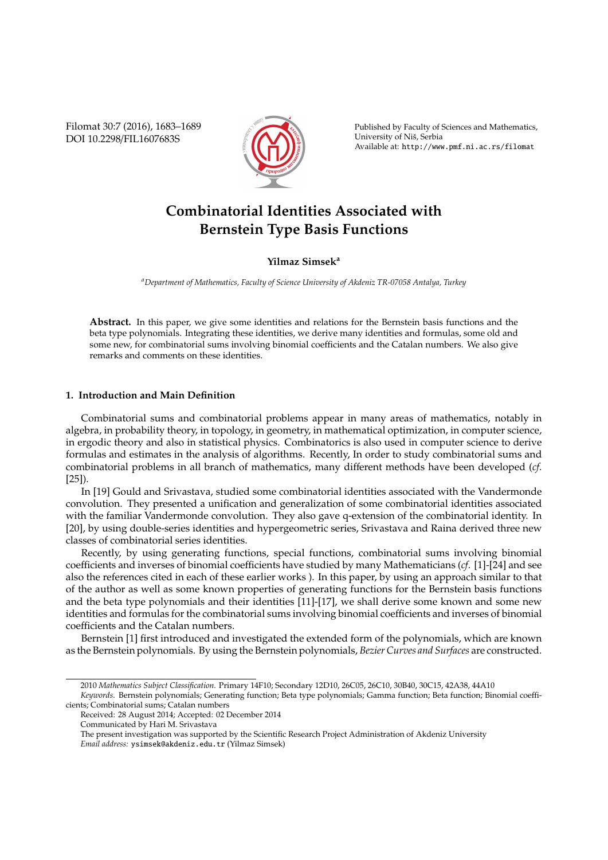Filomat 30:7 (2016), 1683–1689 DOI 10.2298/FIL1607683S



Published by Faculty of Sciences and Mathematics, University of Nis, Serbia ˇ Available at: http://www.pmf.ni.ac.rs/filomat

# **Combinatorial Identities Associated with Bernstein Type Basis Functions**

## **Yilmaz Simsek<sup>a</sup>**

*<sup>a</sup>Department of Mathematics, Faculty of Science University of Akdeniz TR-07058 Antalya, Turkey*

**Abstract.** In this paper, we give some identities and relations for the Bernstein basis functions and the beta type polynomials. Integrating these identities, we derive many identities and formulas, some old and some new, for combinatorial sums involving binomial coefficients and the Catalan numbers. We also give remarks and comments on these identities.

## **1. Introduction and Main Definition**

Combinatorial sums and combinatorial problems appear in many areas of mathematics, notably in algebra, in probability theory, in topology, in geometry, in mathematical optimization, in computer science, in ergodic theory and also in statistical physics. Combinatorics is also used in computer science to derive formulas and estimates in the analysis of algorithms. Recently, In order to study combinatorial sums and combinatorial problems in all branch of mathematics, many different methods have been developed (*cf*.  $[25]$ .

In [19] Gould and Srivastava, studied some combinatorial identities associated with the Vandermonde convolution. They presented a unification and generalization of some combinatorial identities associated with the familiar Vandermonde convolution. They also gave q-extension of the combinatorial identity. In [20], by using double-series identities and hypergeometric series, Srivastava and Raina derived three new classes of combinatorial series identities.

Recently, by using generating functions, special functions, combinatorial sums involving binomial coefficients and inverses of binomial coefficients have studied by many Mathematicians (*cf*. [1]-[24] and see also the references cited in each of these earlier works ). In this paper, by using an approach similar to that of the author as well as some known properties of generating functions for the Bernstein basis functions and the beta type polynomials and their identities [11]-[17], we shall derive some known and some new identities and formulas for the combinatorial sums involving binomial coefficients and inverses of binomial coefficients and the Catalan numbers.

Bernstein [1] first introduced and investigated the extended form of the polynomials, which are known as the Bernstein polynomials. By using the Bernstein polynomials, *Bezier Curves and Surfaces* are constructed.

<sup>2010</sup> *Mathematics Subject Classification*. Primary 14F10; Secondary 12D10, 26C05, 26C10, 30B40, 30C15, 42A38, 44A10 *Keywords*. Bernstein polynomials; Generating function; Beta type polynomials; Gamma function; Beta function; Binomial coeffi-

cients; Combinatorial sums; Catalan numbers

Received: 28 August 2014; Accepted: 02 December 2014

Communicated by Hari M. Srivastava

The present investigation was supported by the Scientific Research Project Administration of Akdeniz University *Email address:* ysimsek@akdeniz.edu.tr (Yilmaz Simsek)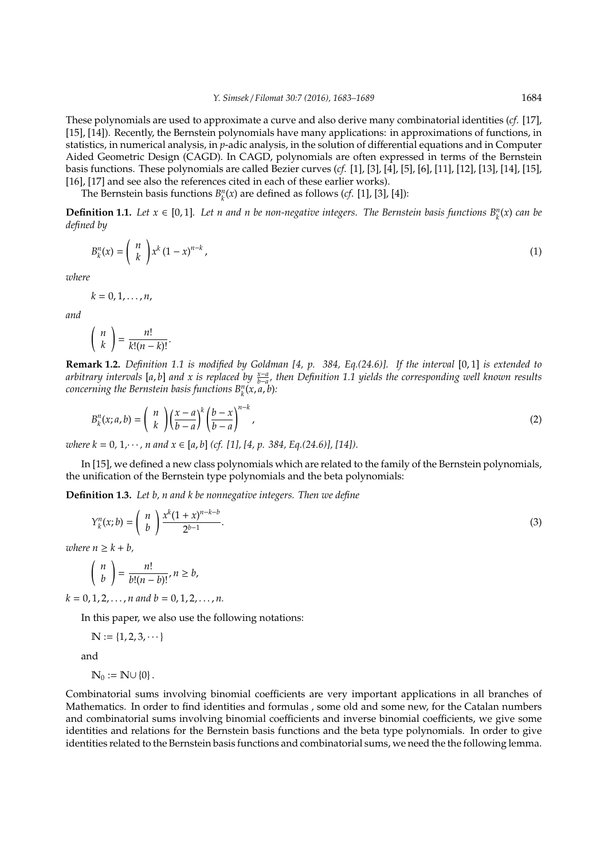These polynomials are used to approximate a curve and also derive many combinatorial identities (*cf*. [17], [15], [14]). Recently, the Bernstein polynomials have many applications: in approximations of functions, in statistics, in numerical analysis, in *p*-adic analysis, in the solution of differential equations and in Computer Aided Geometric Design (CAGD). In CAGD, polynomials are often expressed in terms of the Bernstein basis functions. These polynomials are called Bezier curves (*cf*. [1], [3], [4], [5], [6], [11], [12], [13], [14], [15], [16], [17] and see also the references cited in each of these earlier works).

The Bernstein basis functions  $B_k^n(x)$  are defined as follows (*cf*. [1], [3], [4]):

**Definition 1.1.** Let  $x \in [0, 1]$ . Let n and n be non-negative integers. The Bernstein basis functions  $B_k^n(x)$  can be *defined by*

$$
B_k^n(x) = \binom{n}{k} x^k (1-x)^{n-k},\tag{1}
$$

*where*

$$
k=0,1,\ldots,n,
$$

*and*

$$
\binom{n}{k} = \frac{n!}{k!(n-k)!}.
$$

**Remark 1.2.** *Definition 1.1 is modified by Goldman [4, p. 384, Eq.(24.6)]. If the interval* [0, 1] *is extended to arbitrary intervals [a, b] and x is replaced by*  $\frac{x-a}{b-a}$ *, then Definition 1.1 yields the corresponding well known results concerning the Bernstein basis functions*  $B_k^n(x, a, b)$ *:* 

$$
B_k^n(x;a,b) = {n \choose k} \left(\frac{x-a}{b-a}\right)^k \left(\frac{b-x}{b-a}\right)^{n-k},
$$
\n(2)

*where k* = 0, 1,  $\cdots$ , *n* and  $x \in [a, b]$  (cf. [1], [4, p. 384, Eq.(24.6)], [14]).

In [15], we defined a new class polynomials which are related to the family of the Bernstein polynomials, the unification of the Bernstein type polynomials and the beta polynomials:

**Definition 1.3.** *Let b, n and k be nonnegative integers. Then we define*

$$
Y_k^n(x;b) = \left(\begin{array}{c} n \\ b \end{array}\right) \frac{x^k(1+x)^{n-k-b}}{2^{b-1}}.
$$
 (3)

*where*  $n \geq k + b$ ,

$$
\binom{n}{b} = \frac{n!}{b!(n-b)!}, n \ge b,
$$

 $k = 0, 1, 2, \ldots, n$  and  $b = 0, 1, 2, \ldots, n$ .

In this paper, we also use the following notations:

$$
\mathbb{N}:=\{1,2,3,\cdots\}
$$

and

$$
\mathbb{N}_0:=\mathbb{N}\cup\{0\}\,.
$$

Combinatorial sums involving binomial coefficients are very important applications in all branches of Mathematics. In order to find identities and formulas , some old and some new, for the Catalan numbers and combinatorial sums involving binomial coefficients and inverse binomial coefficients, we give some identities and relations for the Bernstein basis functions and the beta type polynomials. In order to give identities related to the Bernstein basis functions and combinatorial sums, we need the the following lemma.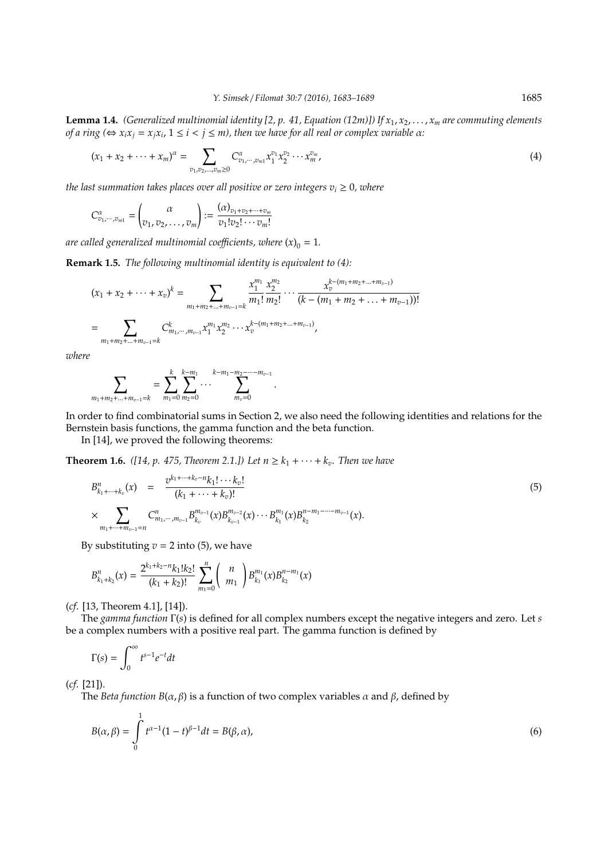**Lemma 1.4.** *(Generalized multinomial identity [2, p. 41, Equation (12m)]) If*  $x_1, x_2, \ldots, x_m$  *are commuting elements of a ring*  $(\Leftrightarrow x_i x_j = x_j x_i$ ,  $1 \le i < j \le m$ ), then we have for all real or complex variable  $\alpha$ :

$$
(x_1 + x_2 + \dots + x_m)^{\alpha} = \sum_{v_1, v_2, \dots, v_m \ge 0} C^{\alpha}_{v_1, \dots, v_m, x_1^{v_1} x_2^{v_2} \dots x_m^{v_m},
$$
\n(4)

*the last summation takes places over all positive or zero integers*  $v_i \geq 0$ *, where* 

$$
C_{v_1,\dots,v_{m1}}^{\alpha} = \begin{pmatrix} \alpha \\ v_1, v_2, \dots, v_m \end{pmatrix} := \frac{(\alpha)_{v_1+v_2+\dots+v_m}}{v_1!v_2!\dots v_m!}
$$

*are called generalized multinomial coefficients, where*  $(x)_0 = 1$ *.* 

**Remark 1.5.** *The following multinomial identity is equivalent to (4):*

$$
(x_1 + x_2 + \dots + x_v)^k = \sum_{m_1 + m_2 + \dots + m_{v-1} = k} \frac{x_1^{m_1}}{m_1!} \frac{x_2^{m_2}}{m_2!} \dots \frac{x_v^{k - (m_1 + m_2 + \dots + m_{v-1})}}{(k - (m_1 + m_2 + \dots + m_{v-1}))!}
$$
  
= 
$$
\sum_{m_1 + m_2 + \dots + m_{v-1} = k} C_{m_1, \dots, m_{v-1}}^k x_1^{m_1} x_2^{m_2} \dots x_v^{k - (m_1 + m_2 + \dots + m_{v-1})},
$$

*where*

$$
\sum_{m_1+m_2+\ldots+m_{v-1}=k}=\sum_{m_1=0}^k\sum_{m_2=0}^{k-m_1}\cdots\sum_{m_v=0}^{k-m_1-m_2-\cdots-m_{v-1}}.
$$

In order to find combinatorial sums in Section 2, we also need the following identities and relations for the Bernstein basis functions, the gamma function and the beta function.

In [14], we proved the following theorems:

**Theorem 1.6.** *([14, p. 475, Theorem 2.1.]) Let*  $n \geq k_1 + \cdots + k_v$ *. Then we have* 

$$
B_{k_1+\cdots+k_v}^n(x) = \frac{\sigma^{k_1+\cdots+k_v-n}k_1!\cdots k_v!}{(k_1+\cdots+k_v)!}
$$
  
 
$$
\times \sum_{m_1+\cdots+m_{v-1}=n} C_{m_1,\cdots,m_{v-1}}^n B_{k_v}^{m_{v-1}}(x) B_{k_{v-1}}^{m_{v-2}}(x) \cdots B_{k_1}^{m_1}(x) B_{k_2}^{n-m_1-\cdots-m_{v-1}}(x).
$$
 (5)

By substituting  $v = 2$  into (5), we have

$$
B_{k_1+k_2}^n(x) = \frac{2^{k_1+k_2-n}k_1!k_2!}{(k_1+k_2)!} \sum_{m_1=0}^n {n \choose m_1} B_{k_1}^{m_1}(x) B_{k_2}^{n-m_1}(x)
$$

(*cf*. [13, Theorem 4.1], [14]).

The *gamma function* Γ(*s*) is defined for all complex numbers except the negative integers and zero. Let *s* be a complex numbers with a positive real part. The gamma function is defined by

$$
\Gamma(s) = \int_0^\infty t^{s-1} e^{-t} dt
$$

(*cf*. [21]).

The *Beta function B*( $\alpha$ ,  $\beta$ ) is a function of two complex variables  $\alpha$  and  $\beta$ , defined by

$$
B(\alpha, \beta) = \int_{0}^{1} t^{\alpha - 1} (1 - t)^{\beta - 1} dt = B(\beta, \alpha),
$$
\n(6)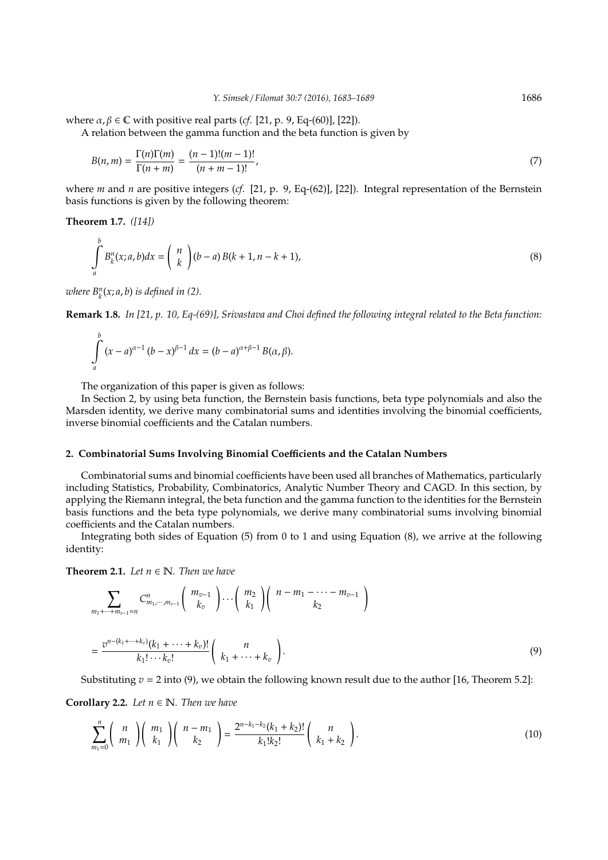where  $\alpha, \beta \in \mathbb{C}$  with positive real parts (*cf.* [21, p. 9, Eq-(60)], [22]).

A relation between the gamma function and the beta function is given by

$$
B(n,m) = \frac{\Gamma(n)\Gamma(m)}{\Gamma(n+m)} = \frac{(n-1)!(m-1)!}{(n+m-1)!},
$$
\n(7)

where *m* and *n* are positive integers (*cf*. [21, p. 9, Eq-(62)], [22]). Integral representation of the Bernstein basis functions is given by the following theorem:

**Theorem 1.7.** *([14])*

$$
\int_{a}^{b} B_{k}^{n}(x; a, b) dx = {n \choose k} (b - a) B(k + 1, n - k + 1),
$$
\n(8)

*where*  $B_k^n(x; a, b)$  *is defined in (2).* 

**Remark 1.8.** *In [21, p. 10, Eq-(69)], Srivastava and Choi defined the following integral related to the Beta function:*

$$
\int_{a}^{b} (x-a)^{\alpha-1} (b-x)^{\beta-1} dx = (b-a)^{\alpha+\beta-1} B(\alpha, \beta).
$$

The organization of this paper is given as follows:

In Section 2, by using beta function, the Bernstein basis functions, beta type polynomials and also the Marsden identity, we derive many combinatorial sums and identities involving the binomial coefficients, inverse binomial coefficients and the Catalan numbers.

#### **2. Combinatorial Sums Involving Binomial Coe**ffi**cients and the Catalan Numbers**

Combinatorial sums and binomial coefficients have been used all branches of Mathematics, particularly including Statistics, Probability, Combinatorics, Analytic Number Theory and CAGD. In this section, by applying the Riemann integral, the beta function and the gamma function to the identities for the Bernstein basis functions and the beta type polynomials, we derive many combinatorial sums involving binomial coefficients and the Catalan numbers.

Integrating both sides of Equation (5) from 0 to 1 and using Equation (8), we arrive at the following identity:

**Theorem 2.1.** *Let*  $n \in \mathbb{N}$ *. Then we have* 

$$
\sum_{m_1+\dots+m_{v-1}=n} C_{m_1,\dots,m_{v-1}}^n \binom{m_{v-1}}{k_v} \cdots \binom{m_2}{k_1} \binom{n-m_1-\dots-m_{v-1}}{k_2}
$$
  
= 
$$
\frac{v^{n-(k_1+\dots+k_v)}(k_1+\dots+k_v)!}{k_1!\dots k_v!} \binom{n}{k_1+\dots+k_v}.
$$
 (9)

Substituting  $v = 2$  into (9), we obtain the following known result due to the author [16, Theorem 5.2]:

**Corollary 2.2.** *Let*  $n \in \mathbb{N}$ *. Then we have* 

$$
\sum_{m_1=0}^n \binom{n}{m_1} \binom{m_1}{k_1} \binom{n-m_1}{k_2} = \frac{2^{n-k_1-k_2}(k_1+k_2)!}{k_1!k_2!} \binom{n}{k_1+k_2}.
$$
\n(10)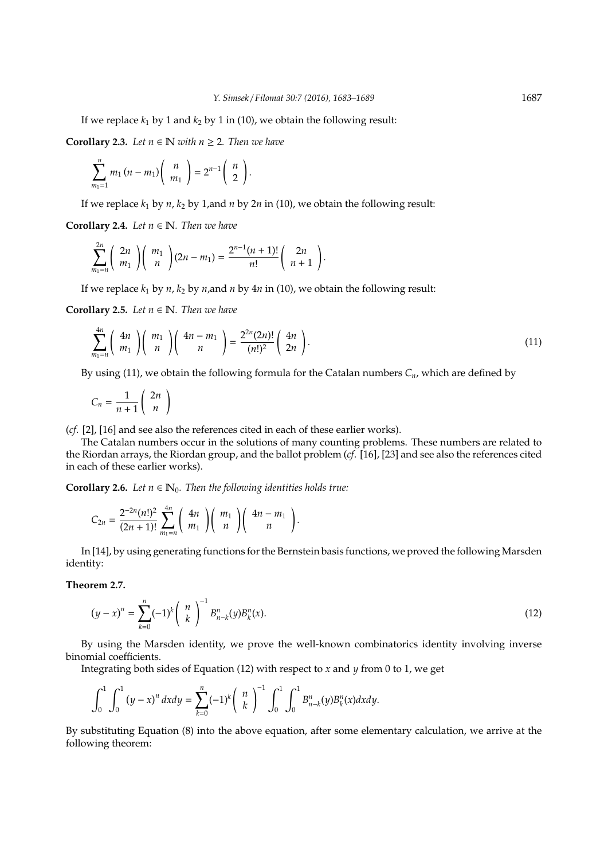If we replace  $k_1$  by 1 and  $k_2$  by 1 in (10), we obtain the following result:

**Corollary 2.3.** *Let*  $n \in \mathbb{N}$  *with*  $n \geq 2$ *. Then we have* 

$$
\sum_{m_1=1}^n m_1 (n - m_1) \binom{n}{m_1} = 2^{n-1} \binom{n}{2}.
$$

If we replace  $k_1$  by  $n$ ,  $k_2$  by 1,and  $n$  by  $2n$  in (10), we obtain the following result:

**Corollary 2.4.** *Let*  $n \in \mathbb{N}$ *. Then we have* 

2*n*

$$
\sum_{m_1=n}^{2n} \binom{2n}{m_1} \binom{m_1}{n} (2n-m_1) = \frac{2^{n-1}(n+1)!}{n!} \binom{2n}{n+1}.
$$

If we replace  $k_1$  by  $n$ ,  $k_2$  by  $n$ , and  $n$  by  $4n$  in (10), we obtain the following result:

**Corollary 2.5.** *Let*  $n \in \mathbb{N}$ *. Then we have* 

$$
\sum_{m_1=n}^{4n} \binom{4n}{m_1} \binom{m_1}{n} \binom{4n-m_1}{n} = \frac{2^{2n}(2n)!}{(n!)^2} \binom{4n}{2n}.
$$
\n
$$
(11)
$$

By using (11), we obtain the following formula for the Catalan numbers  $C_n$ , which are defined by

$$
C_n = \frac{1}{n+1} \left( \begin{array}{c} 2n \\ n \end{array} \right)
$$

(*cf*. [2], [16] and see also the references cited in each of these earlier works).

The Catalan numbers occur in the solutions of many counting problems. These numbers are related to the Riordan arrays, the Riordan group, and the ballot problem (*cf*. [16], [23] and see also the references cited in each of these earlier works).

**Corollary 2.6.** *Let*  $n \in \mathbb{N}_0$ *. Then the following identities holds true:* 

$$
C_{2n} = \frac{2^{-2n} (n!)^2}{(2n+1)!} \sum_{m_1=n}^{4n} \binom{4n}{m_1} \binom{m_1}{n} \binom{4n-m_1}{n}.
$$

In [14], by using generating functions for the Bernstein basis functions, we proved the following Marsden identity:

**Theorem 2.7.**

$$
(y-x)^n = \sum_{k=0}^n (-1)^k {n \choose k}^{-1} B_{n-k}^n(y) B_k^n(x).
$$
 (12)

By using the Marsden identity, we prove the well-known combinatorics identity involving inverse binomial coefficients.

Integrating both sides of Equation (12) with respect to *x* and *y* from 0 to 1, we get

$$
\int_0^1 \int_0^1 (y-x)^n dx dy = \sum_{k=0}^n (-1)^k {n \choose k}^{-1} \int_0^1 \int_0^1 B_{n-k}^n(y) B_k^n(x) dx dy.
$$

By substituting Equation (8) into the above equation, after some elementary calculation, we arrive at the following theorem: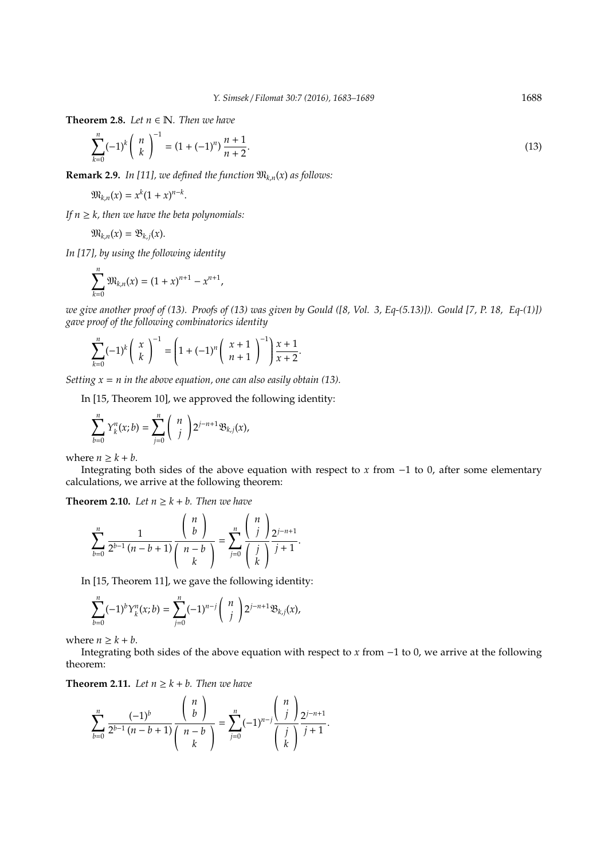**Theorem 2.8.** *Let*  $n \in \mathbb{N}$ *. Then we have* 

$$
\sum_{k=0}^{n} (-1)^{k} {n \choose k}^{-1} = (1 + (-1)^{n}) \frac{n+1}{n+2}.
$$
\n(13)

**Remark 2.9.** *In [11], we defined the function*  $\mathfrak{M}_{k,n}(x)$  *as follows:* 

$$
\mathfrak{M}_{k,n}(x)=x^k(1+x)^{n-k}.
$$

*If*  $n \geq k$ *, then we have the beta polynomials:* 

$$
\mathfrak{M}_{k,n}(x)=\mathfrak{B}_{k,j}(x).
$$

*In [17], by using the following identity*

$$
\sum_{k=0}^n \mathfrak{M}_{k,n}(x) = (1+x)^{n+1} - x^{n+1},
$$

*we give another proof of (13). Proofs of (13) was given by Gould ([8, Vol. 3, Eq-(5.13)]). Gould [7, P. 18, Eq-(1)]) gave proof of the following combinatorics identity*

$$
\sum_{k=0}^{n} (-1)^{k} \binom{x}{k}^{-1} = \left(1 + (-1)^{n} \binom{x+1}{n+1}^{-1}\right) \frac{x+1}{x+2}.
$$

*Setting*  $x = n$  *in the above equation, one can also easily obtain* (13).

In [15, Theorem 10], we approved the following identity:

$$
\sum_{b=0}^{n} Y_{k}^{n}(x;b) = \sum_{j=0}^{n} {n \choose j} 2^{j-n+1} \mathfrak{B}_{k,j}(x),
$$

where  $n \geq k + b$ .

Integrating both sides of the above equation with respect to *x* from −1 to 0, after some elementary calculations, we arrive at the following theorem:

**Theorem 2.10.** *Let*  $n \geq k + b$ *. Then we have* 

$$
\sum_{b=0}^{n} \frac{1}{2^{b-1} (n-b+1)} \frac{{\binom{n}{b}}}{{\binom{n-b}{k}}} = \sum_{j=0}^{n} \frac{{\binom{n}{j}}}{\binom{j}{k}} \frac{2^{j-n+1}}{j+1}.
$$

In [15, Theorem 11], we gave the following identity:

$$
\sum_{b=0}^n (-1)^b Y_k^n(x;b) = \sum_{j=0}^n (-1)^{n-j} \binom{n}{j} 2^{j-n+1} \mathfrak{B}_{k,j}(x),
$$

where  $n \geq k + b$ .

Integrating both sides of the above equation with respect to *x* from −1 to 0, we arrive at the following theorem:

**Theorem 2.11.** *Let*  $n \geq k + b$ *. Then we have* 

$$
\sum_{b=0}^{n} \frac{(-1)^{b}}{2^{b-1} (n-b+1)} \frac{{\binom{n}{b}}}{\binom{n-b}{k}} = \sum_{j=0}^{n} (-1)^{n-j} \frac{{\binom{n}{j}}}{\binom{j}{k}} \frac{2^{j-n+1}}{j+1}.
$$